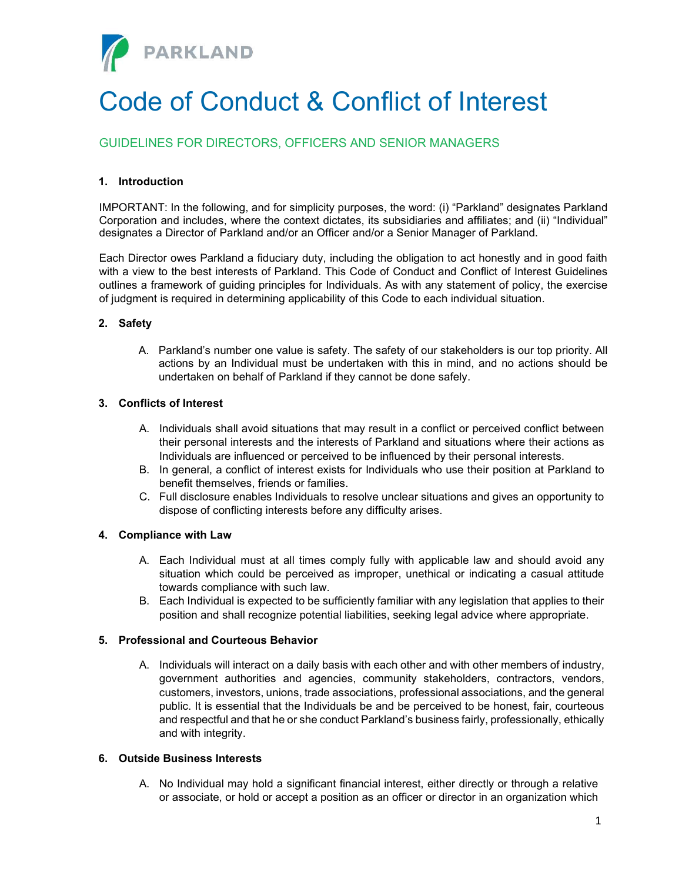

# Code of Conduct & Conflict of Interest

# GUIDELINES FOR DIRECTORS, OFFICERS AND SENIOR MANAGERS

# 1. Introduction

IMPORTANT: In the following, and for simplicity purposes, the word: (i) "Parkland" designates Parkland Corporation and includes, where the context dictates, its subsidiaries and affiliates; and (ii) "Individual" designates a Director of Parkland and/or an Officer and/or a Senior Manager of Parkland.

Each Director owes Parkland a fiduciary duty, including the obligation to act honestly and in good faith with a view to the best interests of Parkland. This Code of Conduct and Conflict of Interest Guidelines outlines a framework of guiding principles for Individuals. As with any statement of policy, the exercise of judgment is required in determining applicability of this Code to each individual situation.

# 2. Safety

A. Parkland's number one value is safety. The safety of our stakeholders is our top priority. All actions by an Individual must be undertaken with this in mind, and no actions should be undertaken on behalf of Parkland if they cannot be done safely.

## 3. Conflicts of Interest

- A. Individuals shall avoid situations that may result in a conflict or perceived conflict between their personal interests and the interests of Parkland and situations where their actions as Individuals are influenced or perceived to be influenced by their personal interests.
- B. In general, a conflict of interest exists for Individuals who use their position at Parkland to benefit themselves, friends or families.
- C. Full disclosure enables Individuals to resolve unclear situations and gives an opportunity to dispose of conflicting interests before any difficulty arises.

#### 4. Compliance with Law

- A. Each Individual must at all times comply fully with applicable law and should avoid any situation which could be perceived as improper, unethical or indicating a casual attitude towards compliance with such law.
- B. Each Individual is expected to be sufficiently familiar with any legislation that applies to their position and shall recognize potential liabilities, seeking legal advice where appropriate.

# 5. Professional and Courteous Behavior

A. Individuals will interact on a daily basis with each other and with other members of industry, government authorities and agencies, community stakeholders, contractors, vendors, customers, investors, unions, trade associations, professional associations, and the general public. It is essential that the Individuals be and be perceived to be honest, fair, courteous and respectful and that he or she conduct Parkland's business fairly, professionally, ethically and with integrity.

#### 6. Outside Business Interests

A. No Individual may hold a significant financial interest, either directly or through a relative or associate, or hold or accept a position as an officer or director in an organization which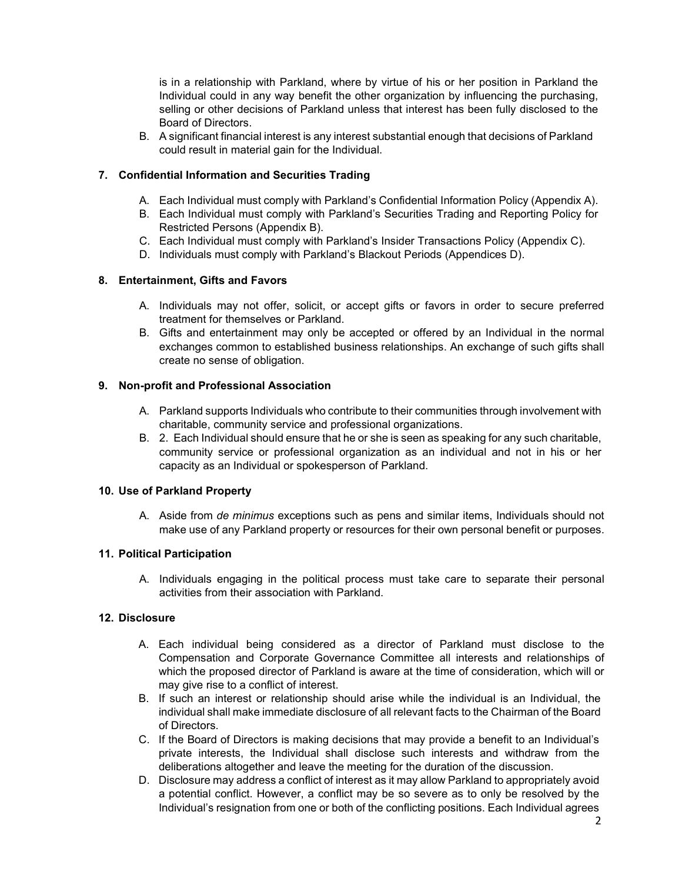is in a relationship with Parkland, where by virtue of his or her position in Parkland the Individual could in any way benefit the other organization by influencing the purchasing, selling or other decisions of Parkland unless that interest has been fully disclosed to the Board of Directors.

B. A significant financial interest is any interest substantial enough that decisions of Parkland could result in material gain for the Individual.

# 7. Confidential Information and Securities Trading

- A. Each Individual must comply with Parkland's Confidential Information Policy (Appendix A).
- B. Each Individual must comply with Parkland's Securities Trading and Reporting Policy for Restricted Persons (Appendix B).
- C. Each Individual must comply with Parkland's Insider Transactions Policy (Appendix C).
- D. Individuals must comply with Parkland's Blackout Periods (Appendices D).

## 8. Entertainment, Gifts and Favors

- A. Individuals may not offer, solicit, or accept gifts or favors in order to secure preferred treatment for themselves or Parkland.
- B. Gifts and entertainment may only be accepted or offered by an Individual in the normal exchanges common to established business relationships. An exchange of such gifts shall create no sense of obligation.

## 9. Non-profit and Professional Association

- A. Parkland supports Individuals who contribute to their communities through involvement with charitable, community service and professional organizations.
- B. 2. Each Individual should ensure that he or she is seen as speaking for any such charitable, community service or professional organization as an individual and not in his or her capacity as an Individual or spokesperson of Parkland.

#### 10. Use of Parkland Property

A. Aside from de minimus exceptions such as pens and similar items, Individuals should not make use of any Parkland property or resources for their own personal benefit or purposes.

#### 11. Political Participation

A. Individuals engaging in the political process must take care to separate their personal activities from their association with Parkland.

#### 12. Disclosure

- A. Each individual being considered as a director of Parkland must disclose to the Compensation and Corporate Governance Committee all interests and relationships of which the proposed director of Parkland is aware at the time of consideration, which will or may give rise to a conflict of interest.
- B. If such an interest or relationship should arise while the individual is an Individual, the individual shall make immediate disclosure of all relevant facts to the Chairman of the Board of Directors.
- C. If the Board of Directors is making decisions that may provide a benefit to an Individual's private interests, the Individual shall disclose such interests and withdraw from the deliberations altogether and leave the meeting for the duration of the discussion.
- D. Disclosure may address a conflict of interest as it may allow Parkland to appropriately avoid a potential conflict. However, a conflict may be so severe as to only be resolved by the Individual's resignation from one or both of the conflicting positions. Each Individual agrees